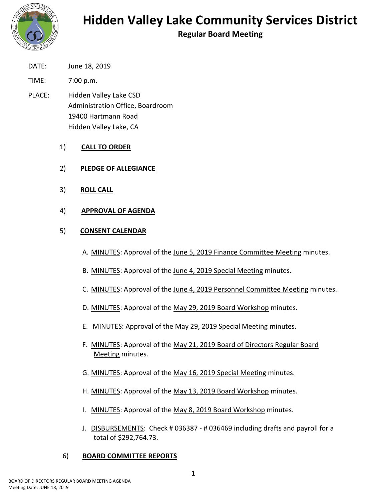

**Regular Board Meeting**

- DATE: June 18, 2019
- TIME: 7:00 p.m.
- PLACE: Hidden Valley Lake CSD Administration Office, Boardroom 19400 Hartmann Road Hidden Valley Lake, CA
	- 1) **CALL TO ORDER**
	- 2) **PLEDGE OF ALLEGIANCE**
	- 3) **ROLL CALL**
	- 4) **APPROVAL OF AGENDA**

### 5) **CONSENT CALENDAR**

- A. MINUTES: Approval of the June 5, 2019 Finance Committee Meeting minutes.
- B. MINUTES: Approval of the June 4, 2019 Special Meeting minutes.
- C. MINUTES: Approval of the June 4, 2019 Personnel Committee Meeting minutes.
- D. MINUTES: Approval of the May 29, 2019 Board Workshop minutes.
- E. MINUTES: Approval of the May 29, 2019 Special Meeting minutes.
- F. MINUTES: Approval of the May 21, 2019 Board of Directors Regular Board Meeting minutes.
- G. MINUTES: Approval of the May 16, 2019 Special Meeting minutes.
- H. MINUTES: Approval of the May 13, 2019 Board Workshop minutes.
- I. MINUTES: Approval of the May 8, 2019 Board Workshop minutes.
- J. DISBURSEMENTS: Check # 036387 # 036469 including drafts and payroll for a total of \$292,764.73.

### 6) **BOARD COMMITTEE REPORTS**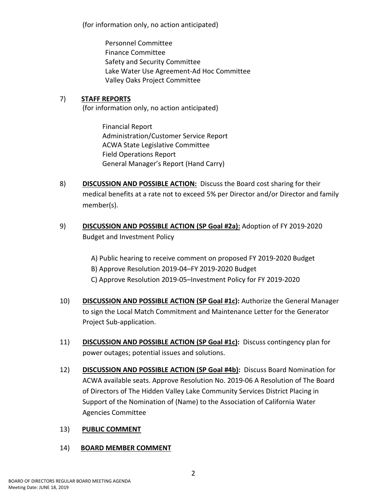(for information only, no action anticipated)

Personnel Committee Finance Committee Safety and Security Committee Lake Water Use Agreement-Ad Hoc Committee Valley Oaks Project Committee

# 7) **STAFF REPORTS**

(for information only, no action anticipated)

Financial Report Administration/Customer Service Report ACWA State Legislative Committee Field Operations Report General Manager's Report (Hand Carry)

- 8) **DISCUSSION AND POSSIBLE ACTION:** Discuss the Board cost sharing for their medical benefits at a rate not to exceed 5% per Director and/or Director and family member(s).
- 9) **DISCUSSION AND POSSIBLE ACTION (SP Goal #2a):** Adoption of FY 2019-2020 Budget and Investment Policy

A) Public hearing to receive comment on proposed FY 2019-2020 Budget B) Approve Resolution 2019-04–FY 2019-2020 Budget C) Approve Resolution 2019-05–Investment Policy for FY 2019-2020

- 10) **DISCUSSION AND POSSIBLE ACTION (SP Goal #1c):** Authorize the General Manager to sign the Local Match Commitment and Maintenance Letter for the Generator Project Sub-application.
- 11) **DISCUSSION AND POSSIBLE ACTION (SP Goal #1c):** Discuss contingency plan for power outages; potential issues and solutions.
- 12) **DISCUSSION AND POSSIBLE ACTION (SP Goal #4b):** Discuss Board Nomination for ACWA available seats. Approve Resolution No. 2019-06 A Resolution of The Board of Directors of The Hidden Valley Lake Community Services District Placing in Support of the Nomination of (Name) to the Association of California Water Agencies Committee

## 13) **PUBLIC COMMENT**

## 14) **BOARD MEMBER COMMENT**